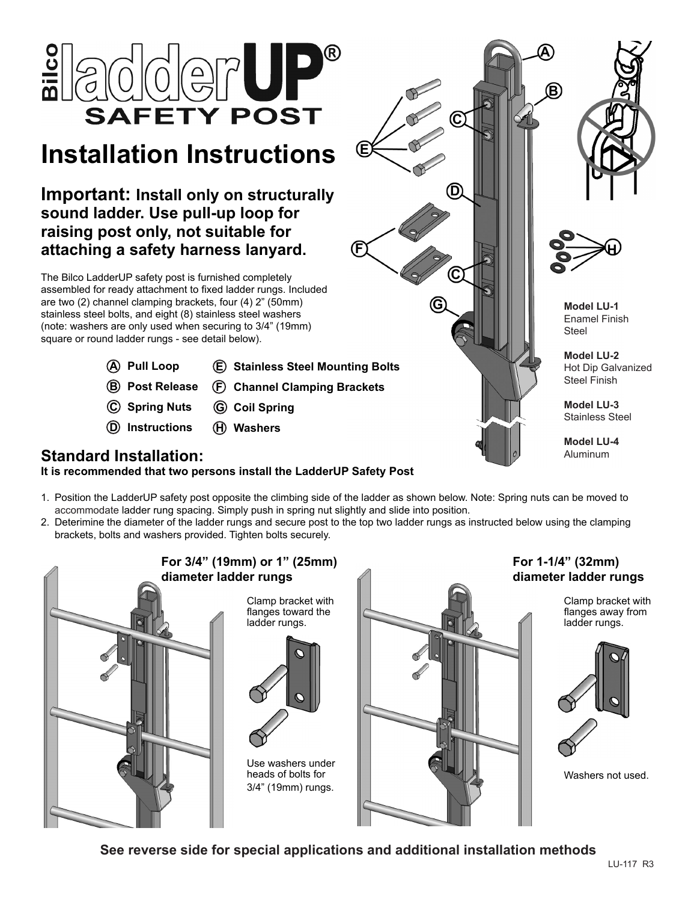

# **Installation Instructions**

**Important: Install only on structurally sound ladder. Use pull-up loop for raising post only, not suitable for attaching a safety harness lanyard.**

The Bilco LadderUP safety post is furnished completely assembled for ready attachment to fixed ladder rungs. Included are two (2) channel clamping brackets, four (4) 2" (50mm) stainless steel bolts, and eight (8) stainless steel washers (note: washers are only used when securing to 3/4" (19mm) square or round ladder rungs - see detail below).

- **A Pull Loop**
- **E Stainless Steel Mounting Bolts**
- **B Post Release**
	- **F Channel Clamping Brackets**
- **C Spring Nuts G Coil Spring**
- **D Instructions H Washers**







**Model LU-1** Enamel Finish Steel

**Model LU-2** Hot Dip Galvanized Steel Finish

**Model LU-3** Stainless Steel

**Model LU-4** Aluminum

### **Standard Installation:**

**It is recommended that two persons install the LadderUP Safety Post**

- 1. Position the LadderUP safety post opposite the climbing side of the ladder as shown below. Note: Spring nuts can be moved to accommodate ladder rung spacing. Simply push in spring nut slightly and slide into position.
- 2. Deterimine the diameter of the ladder rungs and secure post to the top two ladder rungs as instructed below using the clamping brackets, bolts and washers provided. Tighten bolts securely.



**See reverse side for special applications and additional installation methods**